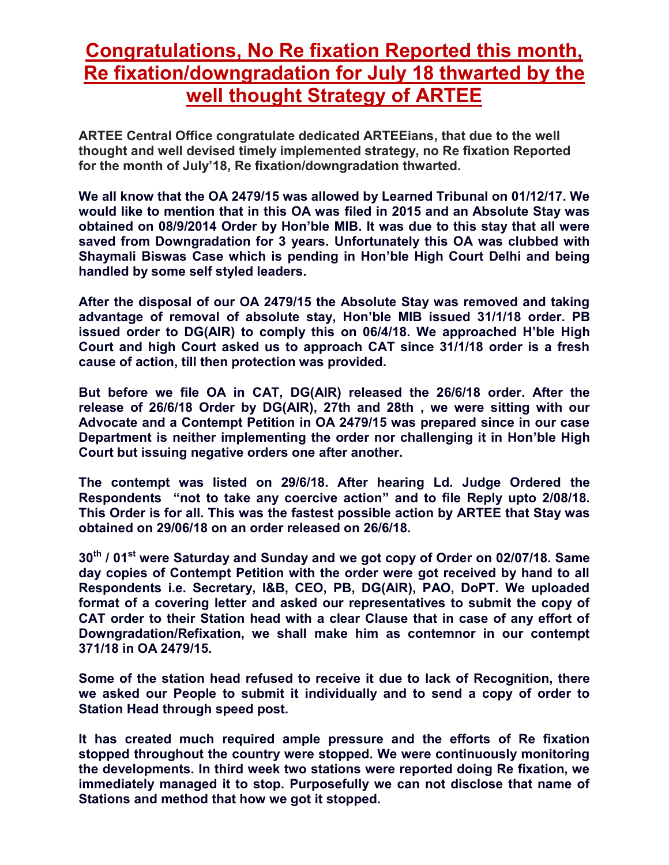## **Congratulations, No Re fixation Reported this month, Re fixation/downgradation for July 18 thwarted by the well thought Strategy of ARTEE**

**ARTEE Central Office congratulate dedicated ARTEEians, that due to the well thought and well devised timely implemented strategy, no Re fixation Reported for the month of July'18, Re fixation/downgradation thwarted.**

**We all know that the OA 2479/15 was allowed by Learned Tribunal on 01/12/17. We would like to mention that in this OA was filed in 2015 and an Absolute Stay was obtained on 08/9/2014 Order by Hon'ble MIB. It was due to this stay that all were saved from Downgradation for 3 years. Unfortunately this OA was clubbed with Shaymali Biswas Case which is pending in Hon'ble High Court Delhi and being handled by some self styled leaders.** 

**After the disposal of our OA 2479/15 the Absolute Stay was removed and taking advantage of removal of absolute stay, Hon'ble MIB issued 31/1/18 order. PB issued order to DG(AIR) to comply this on 06/4/18. We approached H'ble High Court and high Court asked us to approach CAT since 31/1/18 order is a fresh cause of action, till then protection was provided.** 

**But before we file OA in CAT, DG(AIR) released the 26/6/18 order. After the release of 26/6/18 Order by DG(AIR), 27th and 28th , we were sitting with our Advocate and a Contempt Petition in OA 2479/15 was prepared since in our case Department is neither implementing the order nor challenging it in Hon'ble High Court but issuing negative orders one after another.** 

**The contempt was listed on 29/6/18. After hearing Ld. Judge Ordered the Respondents "not to take any coercive action" and to file Reply upto 2/08/18. This Order is for all. This was the fastest possible action by ARTEE that Stay was obtained on 29/06/18 on an order released on 26/6/18.** 

**30th / 01st were Saturday and Sunday and we got copy of Order on 02/07/18. Same day copies of Contempt Petition with the order were got received by hand to all Respondents i.e. Secretary, I&B, CEO, PB, DG(AIR), PAO, DoPT. We uploaded format of a covering letter and asked our representatives to submit the copy of CAT order to their Station head with a clear Clause that in case of any effort of Downgradation/Refixation, we shall make him as contemnor in our contempt 371/18 in OA 2479/15.** 

**Some of the station head refused to receive it due to lack of Recognition, there we asked our People to submit it individually and to send a copy of order to Station Head through speed post.** 

**It has created much required ample pressure and the efforts of Re fixation stopped throughout the country were stopped. We were continuously monitoring the developments. In third week two stations were reported doing Re fixation, we immediately managed it to stop. Purposefully we can not disclose that name of Stations and method that how we got it stopped.**